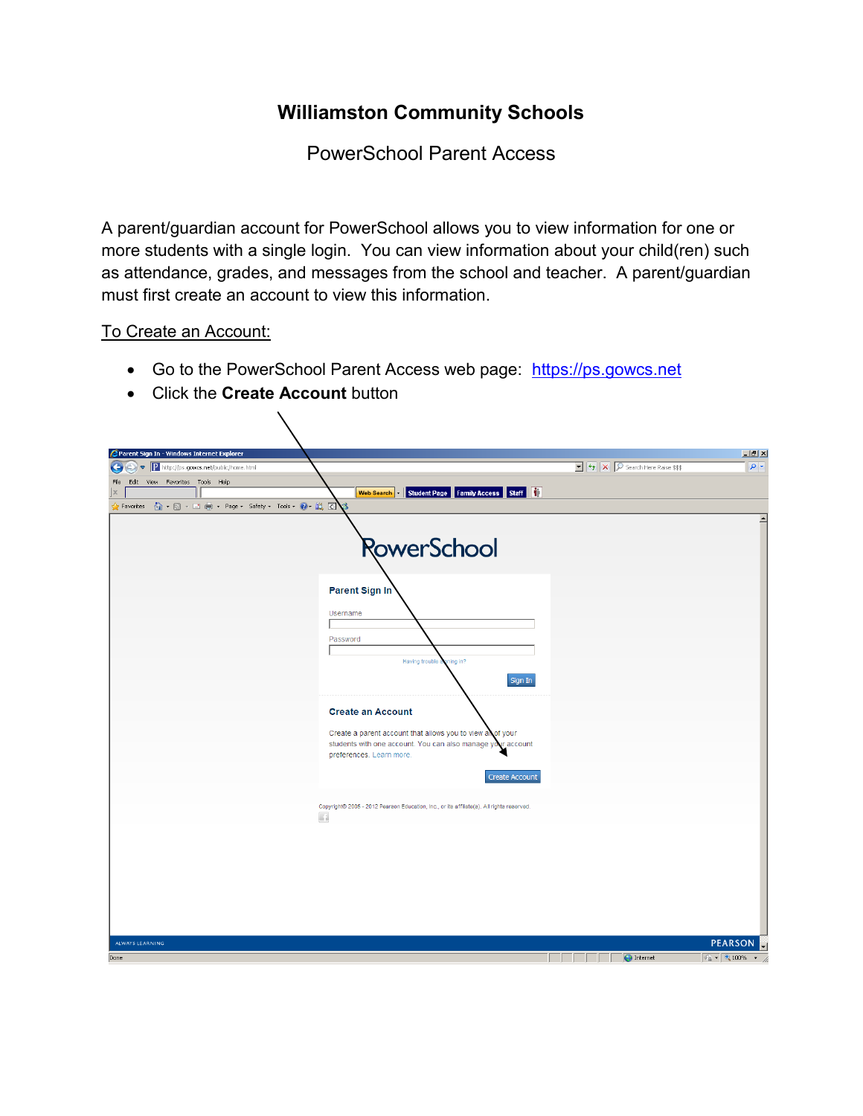## **Williamston Community Schools**

PowerSchool Parent Access

A parent/guardian account for PowerSchool allows you to view information for one or more students with a single login. You can view information about your child(ren) such as attendance, grades, and messages from the school and teacher. A parent/guardian must first create an account to view this information.

## To Create an Account:

- Go to the PowerSchool Parent Access web page: [https://ps.gowcs.net](https://ps.gowcs.net/)
- Click the **Create Account** button

 $\sum$ 

| Parent Sign In - Windows Internet Explorer                                                          |                                                                                                                                                        |                                                                                                        | $\Box$                                                       |
|-----------------------------------------------------------------------------------------------------|--------------------------------------------------------------------------------------------------------------------------------------------------------|--------------------------------------------------------------------------------------------------------|--------------------------------------------------------------|
| $\triangleright$ $\triangleright$ $\blacksquare$ http://ps.gowcs.net/public/home.html<br>$\bigodot$ |                                                                                                                                                        | $\boxed{\bullet}$ $\boxed{\leftarrow}$ $\boxed{\times}$ $\boxed{\mathcal{P}}$ Search Here Raise \$\$\$ | $\boxed{\circ}$                                              |
| Edit View Favorites Tools Help<br>File<br>$\mathbf{x}$                                              |                                                                                                                                                        |                                                                                                        |                                                              |
| V Favorites A + a + El → Page + Safety + Tools + 0 + 2. 0                                           | Student Page Family Access Staff<br>Web Search                                                                                                         |                                                                                                        |                                                              |
|                                                                                                     |                                                                                                                                                        |                                                                                                        | $\left  \right $                                             |
|                                                                                                     |                                                                                                                                                        |                                                                                                        |                                                              |
|                                                                                                     | RowerSchool                                                                                                                                            |                                                                                                        |                                                              |
|                                                                                                     | Parent Sign In                                                                                                                                         |                                                                                                        |                                                              |
|                                                                                                     | Username                                                                                                                                               |                                                                                                        |                                                              |
|                                                                                                     | Password                                                                                                                                               |                                                                                                        |                                                              |
|                                                                                                     | Having trouble s<br>ning in?                                                                                                                           |                                                                                                        |                                                              |
|                                                                                                     | Sign In                                                                                                                                                |                                                                                                        |                                                              |
|                                                                                                     | <b>Create an Account</b>                                                                                                                               |                                                                                                        |                                                              |
|                                                                                                     | Create a parent account that allows you to view all of your<br>students with one account. You can also manage your account<br>preferences. Learn more. |                                                                                                        |                                                              |
|                                                                                                     | <b>Create Account</b>                                                                                                                                  |                                                                                                        |                                                              |
|                                                                                                     | Copyright® 2005 - 2012 Pearson Education, Inc., or its affiliate(s). All rights reserved.                                                              |                                                                                                        |                                                              |
|                                                                                                     | G.                                                                                                                                                     |                                                                                                        |                                                              |
|                                                                                                     |                                                                                                                                                        |                                                                                                        |                                                              |
|                                                                                                     |                                                                                                                                                        |                                                                                                        |                                                              |
|                                                                                                     |                                                                                                                                                        |                                                                                                        |                                                              |
|                                                                                                     |                                                                                                                                                        |                                                                                                        |                                                              |
|                                                                                                     |                                                                                                                                                        |                                                                                                        |                                                              |
|                                                                                                     |                                                                                                                                                        |                                                                                                        |                                                              |
| ALWAYS LEARNING                                                                                     |                                                                                                                                                        |                                                                                                        | <b>PEARSON</b>                                               |
| Done                                                                                                |                                                                                                                                                        | <b>O</b> Internet                                                                                      | $\frac{1}{2}$ $\frac{1}{2}$ $\frac{1}{2}$ 100% $\frac{1}{2}$ |
|                                                                                                     |                                                                                                                                                        |                                                                                                        |                                                              |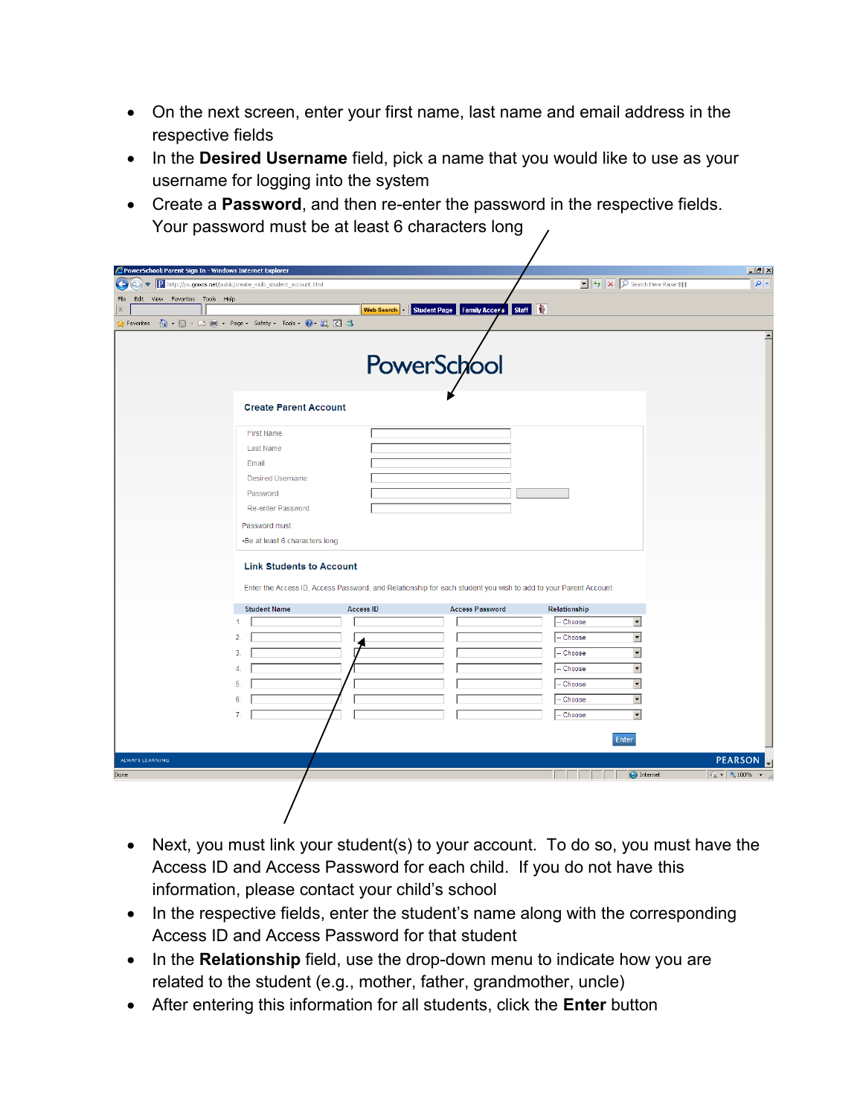- On the next screen, enter your first name, last name and email address in the respective fields
- In the Desired Username field, pick a name that you would like to use as your username for logging into the system
- Create a **Password**, and then re-enter the password in the respective fields. Your password must be at least 6 characters long

| PowerSchool: Parent Sign In - Windows Internet Explorer      |                                                              |                  |                                                                                                                |                                                                                                     | $\Box$ $\Box$ $\times$                 |
|--------------------------------------------------------------|--------------------------------------------------------------|------------------|----------------------------------------------------------------------------------------------------------------|-----------------------------------------------------------------------------------------------------|----------------------------------------|
| $\left( \cdot \right)$                                       | http://ps.gowcs.net/public/create_multi_student_account.html |                  |                                                                                                                | $\boxed{\bullet}$ $\boxed{\bullet}$ $\boxed{\times}$ $\boxed{\mathcal{P}}$ Search Here Raise \$\$\$ | $\rho$ .                               |
| Edit<br>View Favorites Tools Help<br>File<br>$\vert x \vert$ |                                                              | Web Search v     | Student Page Family Access Staff                                                                               |                                                                                                     |                                        |
| Favorites                                                    | 合 同 · □ ● · Page · Safety · Tools · ● 以 区 る                  |                  |                                                                                                                |                                                                                                     |                                        |
|                                                              |                                                              |                  |                                                                                                                |                                                                                                     | $\blacktriangle$                       |
|                                                              |                                                              |                  |                                                                                                                |                                                                                                     |                                        |
|                                                              |                                                              |                  | PowerSchool                                                                                                    |                                                                                                     |                                        |
|                                                              |                                                              |                  |                                                                                                                |                                                                                                     |                                        |
|                                                              | <b>Create Parent Account</b>                                 |                  |                                                                                                                |                                                                                                     |                                        |
|                                                              |                                                              |                  |                                                                                                                |                                                                                                     |                                        |
|                                                              | <b>First Name</b>                                            |                  |                                                                                                                |                                                                                                     |                                        |
|                                                              | Last Name<br>Email                                           |                  |                                                                                                                |                                                                                                     |                                        |
|                                                              | <b>Desired Username</b>                                      |                  |                                                                                                                |                                                                                                     |                                        |
|                                                              | Password                                                     |                  |                                                                                                                |                                                                                                     |                                        |
|                                                              | <b>Re-enter Password</b>                                     |                  |                                                                                                                |                                                                                                     |                                        |
|                                                              | Password must:                                               |                  |                                                                                                                |                                                                                                     |                                        |
|                                                              | •Be at least 6 characters long                               |                  |                                                                                                                |                                                                                                     |                                        |
|                                                              |                                                              |                  |                                                                                                                |                                                                                                     |                                        |
|                                                              | <b>Link Students to Account</b>                              |                  |                                                                                                                |                                                                                                     |                                        |
|                                                              |                                                              |                  | Enter the Access ID, Access Password, and Relationship for each student you wish to add to your Parent Account |                                                                                                     |                                        |
|                                                              | <b>Student Name</b>                                          | <b>Access ID</b> | <b>Access Password</b>                                                                                         | Relationship                                                                                        |                                        |
|                                                              | 1.                                                           |                  |                                                                                                                | $\blacktriangledown$<br>- Choose                                                                    |                                        |
|                                                              | 2.                                                           |                  |                                                                                                                | $\blacktriangledown$<br>-- Choose                                                                   |                                        |
|                                                              | 3.                                                           |                  |                                                                                                                | $\blacktriangledown$<br>- Choose                                                                    |                                        |
|                                                              | 4.                                                           |                  |                                                                                                                | ▼<br>-- Choose                                                                                      |                                        |
|                                                              | 5.                                                           |                  |                                                                                                                | $\overline{\phantom{a}}$<br>-- Choose                                                               |                                        |
|                                                              | 6.                                                           |                  |                                                                                                                | $\overline{\phantom{0}}$<br>-- Choose                                                               |                                        |
|                                                              | 7.                                                           |                  |                                                                                                                | $\overline{\phantom{0}}$<br>- Choose                                                                |                                        |
|                                                              |                                                              |                  |                                                                                                                | Enter                                                                                               |                                        |
| ALWAYS LEARNING                                              |                                                              |                  |                                                                                                                |                                                                                                     | <b>PEARSON</b>                         |
| Done                                                         |                                                              |                  |                                                                                                                | <b>O</b> Internet                                                                                   | $\frac{1}{2}$ = $\frac{1}{2}$ 100% + 2 |
|                                                              |                                                              |                  |                                                                                                                |                                                                                                     |                                        |
|                                                              |                                                              |                  |                                                                                                                |                                                                                                     |                                        |
|                                                              |                                                              |                  |                                                                                                                |                                                                                                     |                                        |

- Next, you must link your student(s) to your account. To do so, you must have the Access ID and Access Password for each child. If you do not have this information, please contact your child's school
- In the respective fields, enter the student's name along with the corresponding Access ID and Access Password for that student
- In the **Relationship** field, use the drop-down menu to indicate how you are related to the student (e.g., mother, father, grandmother, uncle)
- After entering this information for all students, click the **Enter** button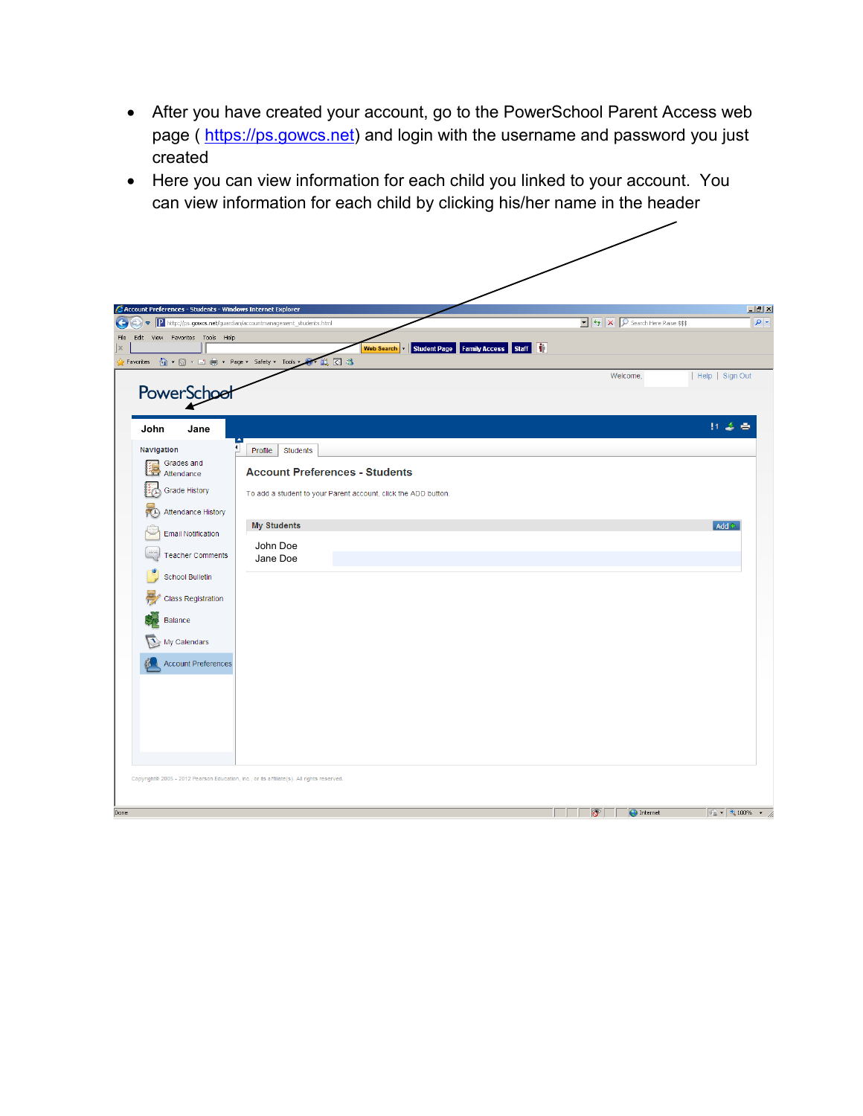- After you have created your account, go to the PowerSchool Parent Access web page ( [https://ps.gowcs.net\)](https://ps.gowcs.net/) and login with the username and password you just created
- Here you can view information for each child you linked to your account. You can view information for each child by clicking his/her name in the header

|                                                     | <b>2</b> Account Preferences - Students - Windows Internet Explorer |                                                                                                        |                 |
|-----------------------------------------------------|---------------------------------------------------------------------|--------------------------------------------------------------------------------------------------------|-----------------|
| $\bullet$                                           | P http://ps.gowcs.net/guardian/accountmanagement_students.html      | $\boxed{\bullet}$ $\boxed{\leftarrow}$ $\boxed{\times}$ $\boxed{\mathcal{P}}$ Search Here Raise \$\$\$ |                 |
| Edit<br>View Favorites Tools Help                   | Student Page Family Access<br><b>Web Search</b>                     | Staff <sup>1</sup>                                                                                     |                 |
| A Favorites A + a + B + B + Page + Safety + Tools + | $\cdot$ 0 3                                                         |                                                                                                        |                 |
|                                                     |                                                                     | Welcome,                                                                                               | Help   Sign Out |
| PowerSchool                                         |                                                                     |                                                                                                        |                 |
|                                                     |                                                                     |                                                                                                        | 打造者             |
| John<br>Jane                                        |                                                                     |                                                                                                        |                 |
| Navigation<br>Grades and                            | Profile<br><b>Students</b>                                          |                                                                                                        |                 |
| 陧<br>Attendance                                     | <b>Account Preferences - Students</b>                               |                                                                                                        |                 |
| Grade History                                       | To add a student to your Parent account, click the ADD button.      |                                                                                                        |                 |
| Attendance History<br><b>A</b>                      |                                                                     |                                                                                                        |                 |
| Email Notification                                  | <b>My Students</b>                                                  |                                                                                                        | $Add +$         |
| <b>Teacher Comments</b>                             | John Doe                                                            |                                                                                                        |                 |
|                                                     | Jane Doe                                                            |                                                                                                        |                 |
| School Bulletin                                     |                                                                     |                                                                                                        |                 |
| <b>Class Registration</b>                           |                                                                     |                                                                                                        |                 |
| Balance                                             |                                                                     |                                                                                                        |                 |
| My Calendars                                        |                                                                     |                                                                                                        |                 |
| <b>Account Preferences</b>                          |                                                                     |                                                                                                        |                 |
|                                                     |                                                                     |                                                                                                        |                 |
|                                                     |                                                                     |                                                                                                        |                 |
|                                                     |                                                                     |                                                                                                        |                 |
|                                                     |                                                                     |                                                                                                        |                 |
|                                                     |                                                                     |                                                                                                        |                 |
|                                                     |                                                                     |                                                                                                        |                 |